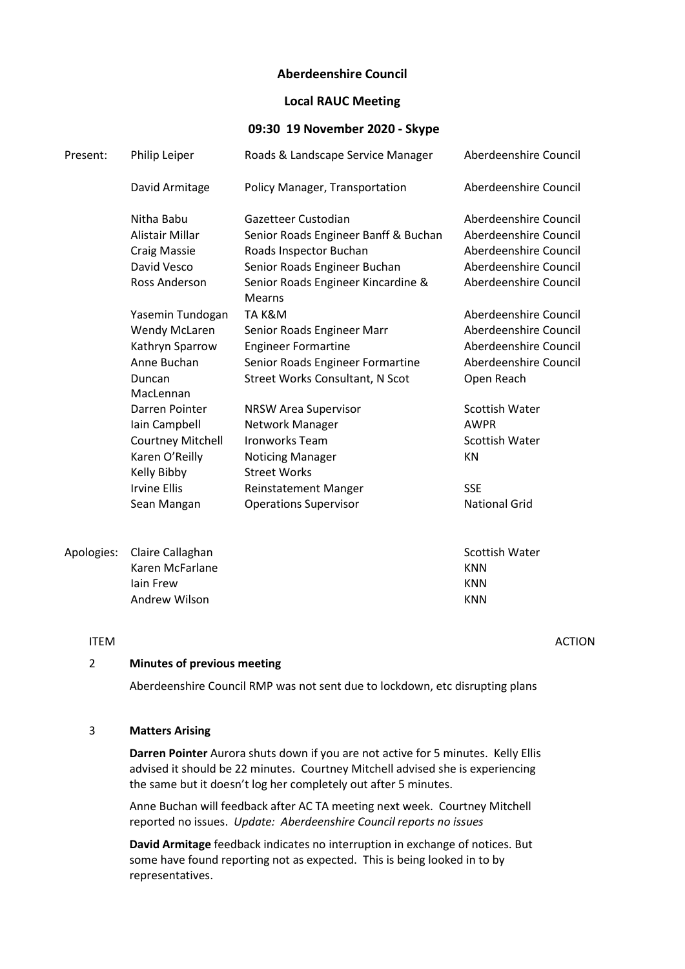# Aberdeenshire Council

# Local RAUC Meeting

### 09:30 19 November 2020 - Skype

| Present:   | Philip Leiper            | Roads & Landscape Service Manager            | Aberdeenshire Council |
|------------|--------------------------|----------------------------------------------|-----------------------|
|            | David Armitage           | Policy Manager, Transportation               | Aberdeenshire Council |
|            | Nitha Babu               | Gazetteer Custodian                          | Aberdeenshire Council |
|            | Alistair Millar          | Senior Roads Engineer Banff & Buchan         | Aberdeenshire Council |
|            | <b>Craig Massie</b>      | Roads Inspector Buchan                       | Aberdeenshire Council |
|            | David Vesco              | Senior Roads Engineer Buchan                 | Aberdeenshire Council |
|            | Ross Anderson            | Senior Roads Engineer Kincardine &<br>Mearns | Aberdeenshire Council |
|            | Yasemin Tundogan         | TA K&M                                       | Aberdeenshire Council |
|            | <b>Wendy McLaren</b>     | Senior Roads Engineer Marr                   | Aberdeenshire Council |
|            | Kathryn Sparrow          | <b>Engineer Formartine</b>                   | Aberdeenshire Council |
|            | Anne Buchan              | Senior Roads Engineer Formartine             | Aberdeenshire Council |
|            | Duncan                   | <b>Street Works Consultant, N Scot</b>       | Open Reach            |
|            | MacLennan                |                                              |                       |
|            | Darren Pointer           | <b>NRSW Area Supervisor</b>                  | Scottish Water        |
|            | Iain Campbell            | Network Manager                              | <b>AWPR</b>           |
|            | <b>Courtney Mitchell</b> | <b>Ironworks Team</b>                        | Scottish Water        |
|            | Karen O'Reilly           | <b>Noticing Manager</b>                      | <b>KN</b>             |
|            | Kelly Bibby              | <b>Street Works</b>                          |                       |
|            | <b>Irvine Ellis</b>      | <b>Reinstatement Manger</b>                  | <b>SSE</b>            |
|            | Sean Mangan              | <b>Operations Supervisor</b>                 | <b>National Grid</b>  |
| Apologies: | Claire Callaghan         |                                              | Scottish Water        |
|            | Karen McFarlane          |                                              | <b>KNN</b>            |
|            | lain Frew                |                                              | <b>KNN</b>            |
|            | Andrew Wilson            |                                              | <b>KNN</b>            |

#### ITEM ACTION

# 2 Minutes of previous meeting

Aberdeenshire Council RMP was not sent due to lockdown, etc disrupting plans

# 3 Matters Arising

Darren Pointer Aurora shuts down if you are not active for 5 minutes. Kelly Ellis advised it should be 22 minutes. Courtney Mitchell advised she is experiencing the same but it doesn't log her completely out after 5 minutes.

Anne Buchan will feedback after AC TA meeting next week. Courtney Mitchell reported no issues. Update: Aberdeenshire Council reports no issues

David Armitage feedback indicates no interruption in exchange of notices. But some have found reporting not as expected. This is being looked in to by representatives.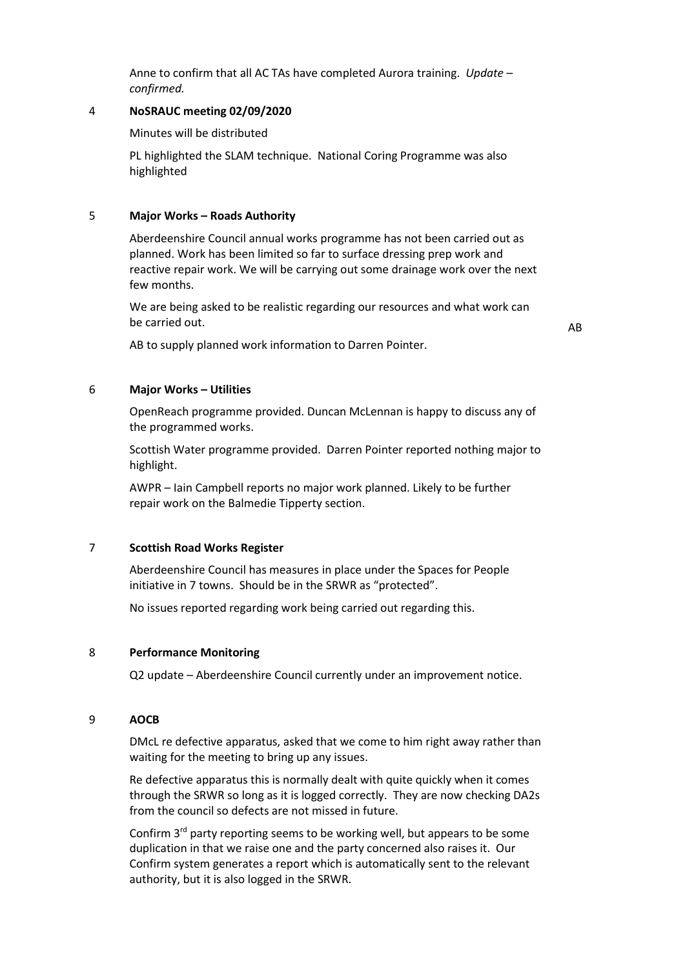Anne to confirm that all AC TAs have completed Aurora training. Update – confirmed.

### 4 NoSRAUC meeting 02/09/2020

Minutes will be distributed

PL highlighted the SLAM technique. National Coring Programme was also highlighted

#### 5 Major Works – Roads Authority

Aberdeenshire Council annual works programme has not been carried out as planned. Work has been limited so far to surface dressing prep work and reactive repair work. We will be carrying out some drainage work over the next few months.

We are being asked to be realistic regarding our resources and what work can be carried out.

AB to supply planned work information to Darren Pointer.

# 6 Major Works – Utilities

OpenReach programme provided. Duncan McLennan is happy to discuss any of the programmed works.

Scottish Water programme provided. Darren Pointer reported nothing major to highlight.

AWPR – Iain Campbell reports no major work planned. Likely to be further repair work on the Balmedie Tipperty section.

### 7 Scottish Road Works Register

Aberdeenshire Council has measures in place under the Spaces for People initiative in 7 towns. Should be in the SRWR as "protected".

No issues reported regarding work being carried out regarding this.

# 8 Performance Monitoring

Q2 update – Aberdeenshire Council currently under an improvement notice.

#### 9 AOCB

DMcL re defective apparatus, asked that we come to him right away rather than waiting for the meeting to bring up any issues.

Re defective apparatus this is normally dealt with quite quickly when it comes through the SRWR so long as it is logged correctly. They are now checking DA2s from the council so defects are not missed in future.

Confirm 3<sup>rd</sup> party reporting seems to be working well, but appears to be some duplication in that we raise one and the party concerned also raises it. Our Confirm system generates a report which is automatically sent to the relevant authority, but it is also logged in the SRWR.